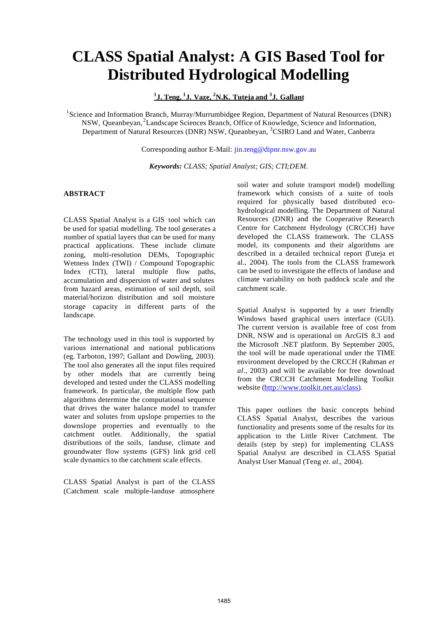# **CLASS Spatial Analyst: A GIS Based Tool for Distributed Hydrological Modelling**

**1 J. Teng, <sup>1</sup> J. Vaze, <sup>2</sup>N.K. Tuteja and <sup>3</sup> J. Gallant**

<sup>1</sup>Science and Information Branch, Murray/Murrumbidgee Region, Department of Natural Resources (DNR) NSW, Queanbeyan,<sup>2</sup>Landscape Sciences Branch, Office of Knowledge, Science and Information, Department of Natural Resources (DNR) NSW, Queanbeyan, <sup>3</sup>CSIRO Land and Water, Canberra

Corresponding author E-Mail: jin.teng@dipnr.nsw.gov.au

*Keywords: CLASS; Spatial Analyst; GIS; CTI;DEM.*

## **ABSTRACT**

CLASS Spatial Analyst is a GIS tool which can be used for spatial modelling. The tool generates a number of spatial layers that can be used for many practical applications. These include climate zoning, multi-resolution DEMs, Topographic Wetness Index (TWI) / Compound Topographic Index (CTI), lateral multiple flow paths, accumulation and dispersion of water and solutes from hazard areas, estimation of soil depth, soil material/horizon distribution and soil moisture storage capacity in different parts of the landscape.

The technology used in this tool is supported by various international and national publications (eg. Tarboton, 1997; Gallant and Dowling, 2003). The tool also generates all the input files required by other models that are currently being developed and tested under the CLASS modelling framework. In particular, the multiple flow path algorithms determine the computational sequence that drives the water balance model to transfer water and solutes from upslope properties to the downslope properties and eventually to the catchment outlet. Additionally, the spatial distributions of the soils, landuse, climate and groundwater flow systems (GFS) link grid cell scale dynamics to the catchment scale effects.

CLASS Spatial Analyst is part of the CLASS (Catchment scale multiple-landuse atmosphere

soil water and solute transport model) modelling framework which consists of a suite of tools required for physically based distributed ecohydrological modelling. The Department of Natural Resources (DNR) and the Cooperative Research Centre for Catchment Hydrology (CRCCH) have developed the CLASS framework. The CLASS model, its components and their algorithms are described in a detailed technical report (Tuteja et al., 2004). The tools from the CLASS framework can be used to investigate the effects of landuse and climate variability on both paddock scale and the catchment scale.

Spatial Analyst is supported by a user friendly Windows based graphical users interface (GUI). The current version is available free of cost from DNR, NSW and is operational on ArcGIS 8.3 and the Microsoft .NET platform. By September 2005, the tool will be made operational under the TIME environment developed by the CRCCH (Rahman *et al*., 2003) and will be available for free download from the CRCCH Catchment Modelling Toolkit website (http://www.toolkit.net.au/class).

This paper outlines the basic concepts behind CLASS Spatial Analyst, describes the various functionality and presents some of the results for its application to the Little River Catchment. The details (step by step) for implementing CLASS Spatial Analyst are described in CLASS Spatial Analyst User Manual (Teng *et. al.*, 2004).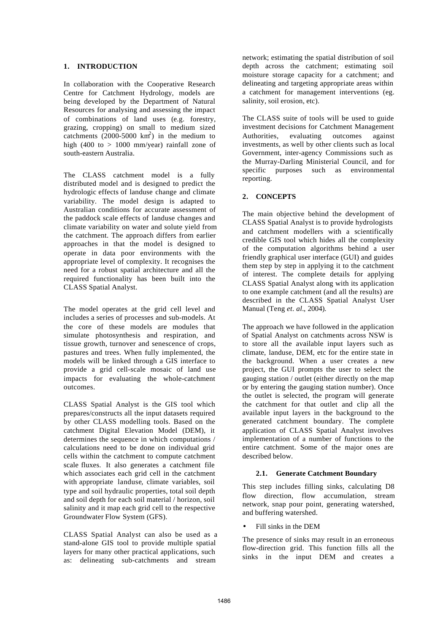#### **1. INTRODUCTION**

In collaboration with the Cooperative Research Centre for Catchment Hydrology, models are being developed by the Department of Natural Resources for analysing and assessing the impact of combinations of land uses (e.g. forestry, grazing, cropping) on small to medium sized catchments  $(2000-5000 \text{ km}^2)$  in the medium to high (400 to  $> 1000$  mm/year) rainfall zone of south-eastern Australia.

The CLASS catchment model is a fully distributed model and is designed to predict the hydrologic effects of landuse change and climate variability. The model design is adapted to Australian conditions for accurate assessment of the paddock scale effects of landuse changes and climate variability on water and solute yield from the catchment. The approach differs from earlier approaches in that the model is designed to operate in data poor environments with the appropriate level of complexity. It recognises the need for a robust spatial architecture and all the required functionality has been built into the CLASS Spatial Analyst.

The model operates at the grid cell level and includes a series of processes and sub-models. At the core of these models are modules that simulate photosynthesis and respiration, and tissue growth, turnover and senescence of crops, pastures and trees. When fully implemented, the models will be linked through a GIS interface to provide a grid cell-scale mosaic of land use impacts for evaluating the whole-catchment outcomes.

CLASS Spatial Analyst is the GIS tool which prepares/constructs all the input datasets required by other CLASS modelling tools. Based on the catchment Digital Elevation Model (DEM), it determines the sequence in which computations / calculations need to be done on individual grid cells within the catchment to compute catchment scale fluxes. It also generates a catchment file which associates each grid cell in the catchment with appropriate landuse, climate variables, soil type and soil hydraulic properties, total soil depth and soil depth for each soil material / horizon, soil salinity and it map each grid cell to the respective Groundwater Flow System (GFS).

CLASS Spatial Analyst can also be used as a stand-alone GIS tool to provide multiple spatial layers for many other practical applications, such as: delineating sub-catchments and stream

network; estimating the spatial distribution of soil depth across the catchment; estimating soil moisture storage capacity for a catchment; and delineating and targeting appropriate areas within a catchment for management interventions (eg. salinity, soil erosion, etc).

The CLASS suite of tools will be used to guide investment decisions for Catchment Management Authorities, evaluating outcomes against investments, as well by other clients such as local Government, inter-agency Commissions such as the Murray-Darling Ministerial Council, and for specific purposes such as environmental reporting.

## **2. CONCEPTS**

The main objective behind the development of CLASS Spatial Analyst is to provide hydrologists and catchment modellers with a scientifically credible GIS tool which hides all the complexity of the computation algorithms behind a user friendly graphical user interface (GUI) and guides them step by step in applying it to the catchment of interest. The complete details for applying CLASS Spatial Analyst along with its application to one example catchment (and all the results) are described in the CLASS Spatial Analyst User Manual (Teng *et. al.*, 2004).

The approach we have followed in the application of Spatial Analyst on catchments across NSW is to store all the available input layers such as climate, landuse, DEM, etc for the entire state in the background. When a user creates a new project, the GUI prompts the user to select the gauging station / outlet (either directly on the map or by entering the gauging station number). Once the outlet is selected, the program will generate the catchment for that outlet and clip all the available input layers in the background to the generated catchment boundary. The complete application of CLASS Spatial Analyst involves implementation of a number of functions to the entire catchment. Some of the major ones are described below.

### **2.1. Generate Catchment Boundary**

This step includes filling sinks, calculating D8 flow direction, flow accumulation, stream network, snap pour point, generating watershed, and buffering watershed.

### • Fill sinks in the DEM

The presence of sinks may result in an erroneous flow-direction grid. This function fills all the sinks in the input DEM and creates a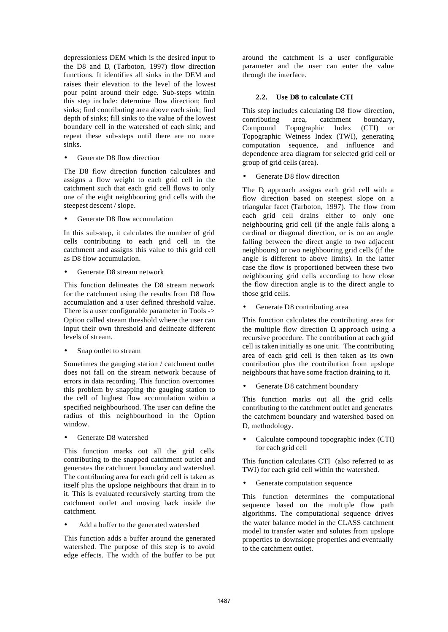depressionless DEM which is the desired input to the  $D8$  and  $D.$  (Tarboton, 1997) flow direction functions. It identifies all sinks in the DEM and raises their elevation to the level of the lowest pour point around their edge. Sub-steps within this step include: determine flow direction; find sinks; find contributing area above each sink; find depth of sinks; fill sinks to the value of the lowest boundary cell in the watershed of each sink; and repeat these sub-steps until there are no more sinks.

Generate D8 flow direction

The D8 flow direction function calculates and assigns a flow weight to each grid cell in the catchment such that each grid cell flows to only one of the eight neighbouring grid cells with the steepest descent / slope.

Generate D8 flow accumulation

In this sub-step, it calculates the number of grid cells contributing to each grid cell in the catchment and assigns this value to this grid cell as D8 flow accumulation.

• Generate D8 stream network

This function delineates the D8 stream network for the catchment using the results from D8 flow accumulation and a user defined threshold value. There is a user configurable parameter in Tools -> Option called stream threshold where the user can input their own threshold and delineate different levels of stream.

Snap outlet to stream

Sometimes the gauging station / catchment outlet does not fall on the stream network because of errors in data recording. This function overcomes this problem by snapping the gauging station to the cell of highest flow accumulation within a specified neighbourhood. The user can define the radius of this neighbourhood in the Option window.

Generate D8 watershed

This function marks out all the grid cells contributing to the snapped catchment outlet and generates the catchment boundary and watershed. The contributing area for each grid cell is taken as itself plus the upslope neighbours that drain in to it. This is evaluated recursively starting from the catchment outlet and moving back inside the catchment.

• Add a buffer to the generated watershed

This function adds a buffer around the generated watershed. The purpose of this step is to avoid edge effects. The width of the buffer to be put around the catchment is a user configurable parameter and the user can enter the value through the interface.

## **2.2. Use D8 to calculate CTI**

This step includes calculating D8 flow direction, contributing area, catchment boundary, Compound Topographic Index (CTI) or Topographic Wetness Index (TWI), generating computation sequence, and influence and dependence area diagram for selected grid cell or group of grid cells (area).

Generate D8 flow direction

The D. approach assigns each grid cell with a flow direction based on steepest slope on a triangular facet (Tarboton, 1997). The flow from each grid cell drains either to only one neighbouring grid cell (if the angle falls along a cardinal or diagonal direction, or is on an angle falling between the direct angle to two adjacent neighbours) or two neighbouring grid cells (if the angle is different to above limits). In the latter case the flow is proportioned between these two neighbouring grid cells according to how close the flow direction angle is to the direct angle to those grid cells.

Generate D8 contributing area

This function calculates the contributing area for the multiple flow direction D approach using a recursive procedure. The contribution at each grid cell is taken initially as one unit. The contributing area of each grid cell is then taken as its own contribution plus the contribution from upslope neighbours that have some fraction draining to it.

Generate D8 catchment boundary

This function marks out all the grid cells contributing to the catchment outlet and generates the catchment boundary and watershed based on D. methodology.

• Calculate compound topographic index (CTI) for each grid cell

This function calculates CTI (also referred to as TWI) for each grid cell within the watershed.

Generate computation sequence

This function determines the computational sequence based on the multiple flow path algorithms. The computational sequence drives the water balance model in the CLASS catchment model to transfer water and solutes from upslope properties to downslope properties and eventually to the catchment outlet.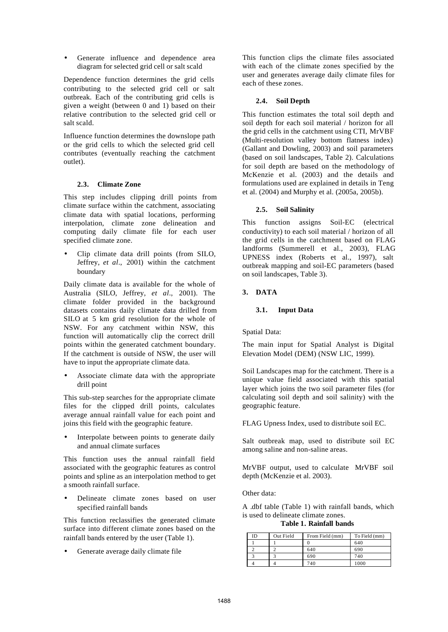Generate influence and dependence area diagram for selected grid cell or salt scald

Dependence function determines the grid cells contributing to the selected grid cell or salt outbreak. Each of the contributing grid cells is given a weight (between 0 and 1) based on their relative contribution to the selected grid cell or salt scald.

Influence function determines the downslope path or the grid cells to which the selected grid cell contributes (eventually reaching the catchment outlet).

### **2.3. Climate Zone**

This step includes clipping drill points from climate surface within the catchment, associating climate data with spatial locations, performing interpolation, climate zone delineation and computing daily climate file for each user specified climate zone.

• Clip climate data drill points (from SILO, Jeffrey, *et al*., 2001) within the catchment boundary

Daily climate data is available for the whole of Australia (SILO, Jeffrey, *et al*., 2001). The climate folder provided in the background datasets contains daily climate data drilled from SILO at 5 km grid resolution for the whole of NSW. For any catchment within NSW, this function will automatically clip the correct drill points within the generated catchment boundary. If the catchment is outside of NSW, the user will have to input the appropriate climate data.

Associate climate data with the appropriate drill point

This sub-step searches for the appropriate climate files for the clipped drill points, calculates average annual rainfall value for each point and joins this field with the geographic feature.

Interpolate between points to generate daily and annual climate surfaces

This function uses the annual rainfall field associated with the geographic features as control points and spline as an interpolation method to get a smooth rainfall surface.

• Delineate climate zones based on user specified rainfall bands

This function reclassifies the generated climate surface into different climate zones based on the rainfall bands entered by the user (Table 1).

Generate average daily climate file

This function clips the climate files associated with each of the climate zones specified by the user and generates average daily climate files for each of these zones.

## **2.4. Soil Depth**

This function estimates the total soil depth and soil depth for each soil material / horizon for all the grid cells in the catchment using CTI, MrVBF (Multi-resolution valley bottom flatness index) (Gallant and Dowling, 2003) and soil parameters (based on soil landscapes, Table 2). Calculations for soil depth are based on the methodology of McKenzie et al. (2003) and the details and formulations used are explained in details in Teng et al. (2004) and Murphy et al. (2005a, 2005b).

## **2.5. Soil Salinity**

This function assigns Soil-EC (electrical conductivity) to each soil material / horizon of all the grid cells in the catchment based on FLAG landforms (Summerell et al., 2003), FLAG UPNESS index (Roberts et al., 1997), salt outbreak mapping and soil-EC parameters (based on soil landscapes, Table 3).

## **3. DATA**

### **3.1. Input Data**

Spatial Data:

The main input for Spatial Analyst is Digital Elevation Model (DEM) (NSW LIC, 1999).

Soil Landscapes map for the catchment. There is a unique value field associated with this spatial layer which joins the two soil parameter files (for calculating soil depth and soil salinity) with the geographic feature.

FLAG Upness Index, used to distribute soil EC.

Salt outbreak map, used to distribute soil EC among saline and non-saline areas.

MrVBF output, used to calculate MrVBF soil depth (McKenzie et al. 2003).

Other data:

A .dbf table (Table 1) with rainfall bands, which is used to delineate climate zones.

**Table 1. Rainfall bands**

| ID | Out Field | From Field (mm) | To Field (mm) |
|----|-----------|-----------------|---------------|
|    |           |                 | 640           |
|    |           | 640             | 690           |
|    |           | 690             | 740           |
|    |           | 40              | 000           |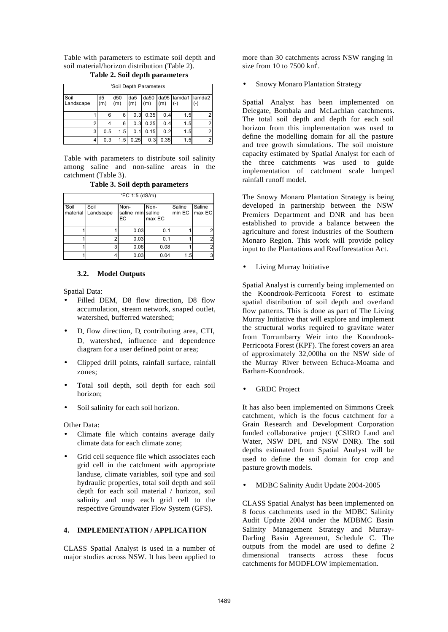Table with parameters to estimate soil depth and soil material/horizon distribution (Table 2).

|                   |   |           | 'Soil Depth Parameters |     |                         |     |                             |   |
|-------------------|---|-----------|------------------------|-----|-------------------------|-----|-----------------------------|---|
| Soil<br>Landscape |   | d5<br>(m) | d50<br>(m)             |     | $(m)$ $(m)$ $(m)$ $(-)$ |     | da5 da50 da95 lamda1 lamda2 |   |
|                   |   | 6         | 6                      | 0.3 | 0.35                    | 0.4 | 1.5                         | 2 |
|                   |   |           | 6                      | 0.3 | 0.35                    | 0.4 | 1.5                         | 2 |
|                   | 3 |           | .5                     |     | 0.15                    | 0.2 | 1.5                         |   |

**Table 2. Soil depth parameters**

Table with parameters to distribute soil salinity among saline and non-saline areas in the catchment (Table 3).

4 0.3 1.5 0.25 0.3 0.35 1.5 2

**Table 3. Soil depth parameters**

| $EC 1:5$ (dS/m) |                            |                                 |                |        |                         |  |  |  |  |
|-----------------|----------------------------|---------------------------------|----------------|--------|-------------------------|--|--|--|--|
| 'Soil           | Soil<br>material Landscape | Non-<br>saline min saline<br>ЕC | Non-<br>max EC | Saline | Saline<br>min EC max EC |  |  |  |  |
|                 |                            | 0.03                            | 0.1            |        |                         |  |  |  |  |
|                 |                            | 0.03                            | 0.1            |        |                         |  |  |  |  |
|                 | 3                          | 0.06                            | 0.08           |        | っ                       |  |  |  |  |
|                 |                            | 0.03                            | 0.04           | 1.5    | З                       |  |  |  |  |

### **3.2. Model Outputs**

Spatial Data:

- Filled DEM, D8 flow direction, D8 flow accumulation, stream network, snaped outlet, watershed, bufferred watershed;
- D. flow direction, D. contributing area, CTI, D. watershed, influence and dependence diagram for a user defined point or area;
- Clipped drill points, rainfall surface, rainfall zones;
- Total soil depth, soil depth for each soil horizon;
- Soil salinity for each soil horizon.

Other Data:

- Climate file which contains average daily climate data for each climate zone;
- Grid cell sequence file which associates each grid cell in the catchment with appropriate landuse, climate variables, soil type and soil hydraulic properties, total soil depth and soil depth for each soil material / horizon, soil salinity and map each grid cell to the respective Groundwater Flow System (GFS).

### **4. IMPLEMENTATION / APPLICATION**

CLASS Spatial Analyst is used in a number of major studies across NSW. It has been applied to more than 30 catchments across NSW ranging in size from 10 to 7500  $\text{km}^2$ .

Snowy Monaro Plantation Strategy

Spatial Analyst has been implemented on Delegate, Bombala and McLachlan catchments. The total soil depth and depth for each soil horizon from this implementation was used to define the modelling domain for all the pasture and tree growth simulations. The soil moisture capacity estimated by Spatial Analyst for each of the three catchments was used to guide implementation of catchment scale lumped rainfall runoff model.

The Snowy Monaro Plantation Strategy is being developed in partnership between the NSW Premiers Department and DNR and has been established to provide a balance between the agriculture and forest industries of the Southern Monaro Region. This work will provide policy input to the Plantations and Reafforestation Act.

Living Murray Initiative

Spatial Analyst is currently being implemented on the Koondrook-Perricoota Forest to estimate spatial distribution of soil depth and overland flow patterns. This is done as part of The Living Murray Initiative that will explore and implement the structural works required to gravitate water from Torrumbarry Weir into the Koondrook-Perricoota Forest (KPF). The forest covers an area of approximately 32,000ha on the NSW side of the Murray River between Echuca-Moama and Barham-Koondrook.

**GRDC** Project

It has also been implemented on Simmons Creek catchment, which is the focus catchment for a Grain Research and Development Corporation funded collaborative project (CSIRO Land and Water, NSW DPI, and NSW DNR). The soil depths estimated from Spatial Analyst will be used to define the soil domain for crop and pasture growth models.

• MDBC Salinity Audit Update 2004-2005

CLASS Spatial Analyst has been implemented on 8 focus catchments used in the MDBC Salinity Audit Update 2004 under the MDBMC Basin Salinity Management Strategy and Murray-Darling Basin Agreement, Schedule C. The outputs from the model are used to define 2 dimensional transects across these focus catchments for MODFLOW implementation.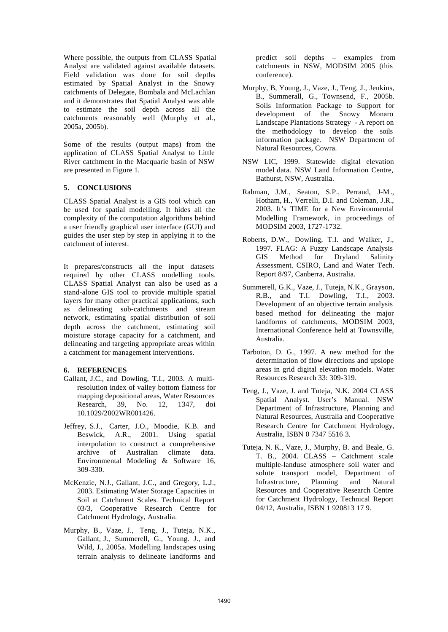Where possible, the outputs from CLASS Spatial Analyst are validated against available datasets. Field validation was done for soil depths estimated by Spatial Analyst in the Snowy catchments of Delegate, Bombala and McLachlan and it demonstrates that Spatial Analyst was able to estimate the soil depth across all the catchments reasonably well (Murphy et al., 2005a, 2005b).

Some of the results (output maps) from the application of CLASS Spatial Analyst to Little River catchment in the Macquarie basin of NSW are presented in Figure 1.

## **5. CONCLUSIONS**

CLASS Spatial Analyst is a GIS tool which can be used for spatial modelling. It hides all the complexity of the computation algorithms behind a user friendly graphical user interface (GUI) and guides the user step by step in applying it to the catchment of interest.

It prepares/constructs all the input datasets required by other CLASS modelling tools. CLASS Spatial Analyst can also be used as a stand-alone GIS tool to provide multiple spatial layers for many other practical applications, such as delineating sub-catchments and stream network, estimating spatial distribution of soil depth across the catchment, estimating soil moisture storage capacity for a catchment, and delineating and targeting appropriate areas within a catchment for management interventions.

## **6. REFERENCES**

- Gallant, J.C., and Dowling, T.I., 2003. A multiresolution index of valley bottom flatness for mapping depositional areas, Water Resources Research, 39, No. 12, 1347, doi 10.1029/2002WR001426.
- Jeffrey, S.J., Carter, J.O., Moodie, K.B. and Beswick, A.R., 2001. Using spatial interpolation to construct a comprehensive archive of Australian climate data. Environmental Modeling & Software 16, 309-330.
- McKenzie, N.J., Gallant, J.C., and Gregory, L.J., 2003. Estimating Water Storage Capacities in Soil at Catchment Scales. Technical Report 03/3, Cooperative Research Centre for Catchment Hydrology, Australia.
- Murphy, B., Vaze, J., Teng, J., Tuteja, N.K., Gallant, J., Summerell, G., Young. J., and Wild, J., 2005a. Modelling landscapes using terrain analysis to delineate landforms and

predict soil depths – examples from catchments in NSW, MODSIM 2005 (this conference).

- Murphy, B, Young, J., Vaze, J., Teng, J., Jenkins, B., Summerall, G., Townsend, F., 2005b. Soils Information Package to Support for development of the Snowy Monaro Landscape Plantations Strategy - A report on the methodology to develop the soils information package. NSW Department of Natural Resources, Cowra.
- NSW LIC, 1999. Statewide digital elevation model data. NSW Land Information Centre, Bathurst, NSW, Australia.
- Rahman, J.M., Seaton, S.P., Perraud, J-M ., Hotham, H., Verrelli, D.I. and Coleman, J.R., 2003. It's TIME for a New Environmental Modelling Framework, in proceedings of MODSIM 2003, 1727-1732.
- Roberts, D.W., Dowling, T.I. and Walker, J., 1997. FLAG: A Fuzzy Landscape Analysis GIS Method for Dryland Salinity Assessment. CSIRO, Land and Water Tech. Report 8/97, Canberra, Australia.
- Summerell, G.K., Vaze, J., Tuteja, N.K., Grayson, R.B., and T.I. Dowling, T.I., 2003. Development of an objective terrain analysis based method for delineating the major landforms of catchments, MODSIM 2003, International Conference held at Townsville, Australia.
- Tarboton, D. G., 1997. A new method for the determination of flow directions and upslope areas in grid digital elevation models. Water Resources Research 33: 309-319.
- Teng, J., Vaze, J. and Tuteja, N.K. 2004 CLASS Spatial Analyst. User's Manual. NSW Department of Infrastructure, Planning and Natural Resources, Australia and Cooperative Research Centre for Catchment Hydrology, Australia, ISBN 0 7347 5516 3.
- Tuteja, N. K., Vaze, J., Murphy, B. and Beale, G. T. B., 2004. CLASS – Catchment scale multiple-landuse atmosphere soil water and solute transport model, Department of Infrastructure, Planning and Natural Resources and Cooperative Research Centre for Catchment Hydrology, Technical Report 04/12, Australia, ISBN 1 920813 17 9.